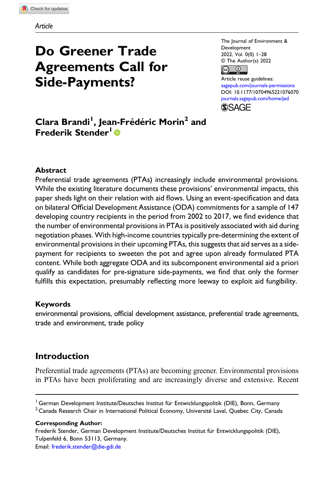# Do Greener Trade Agreements Call for Side-Payments?

The Journal of Environment & Development 2022, Vol. 0(0) 1–28 © The Author(s) 2022  $\curvearrowleft$  $\odot$ 

Article reuse guidelines: [sagepub.com/journals-permissions](https://us.sagepub.com/en-us/journals-permissions) DOI: [10.1177/10704965221076070](https://doi.org/10.1177/10704965221076070) [journals.sagepub.com/home/jed](https://journals.sagepub.com/home/jed) **SAGE** 

Clara Brandi<sup>I</sup>, Jean-Frédéric Morin<sup>2</sup> and Frederik Stender<sup>1</sup>

# Abstract

Preferential trade agreements (PTAs) increasingly include environmental provisions. While the existing literature documents these provisions' environmental impacts, this paper sheds light on their relation with aid flows. Using an event-specification and data on bilateral Official Development Assistance (ODA) commitments for a sample of 147 developing country recipients in the period from 2002 to 2017, we find evidence that the number of environmental provisions in PTAs is positively associated with aid during negotiation phases. With high-income countries typically pre-determining the extent of environmental provisions in their upcoming PTAs, this suggests that aid serves as a sidepayment for recipients to sweeten the pot and agree upon already formulated PTA content. While both aggregate ODA and its subcomponent environmental aid a priori qualify as candidates for pre-signature side-payments, we find that only the former fulfills this expectation, presumably reflecting more leeway to exploit aid fungibility.

# Keywords

environmental provisions, official development assistance, preferential trade agreements, trade and environment, trade policy

# Introduction

Preferential trade agreements (PTAs) are becoming greener. Environmental provisions in PTAs have been proliferating and are increasingly diverse and extensive. Recent

Corresponding Author:

Frederik Stender, German Development Institute/Deutsches Institut für Entwicklungspolitik (DIE), Tulpenfeld 6, Bonn 53113, Germany.

Email: [frederik.stender@die-gdi.de](mailto:frederik.stender@die-gdi.de)

<sup>&</sup>lt;sup>1</sup> German Development Institute/Deutsches Institut für Entwicklungspolitik (DIE), Bonn, Germany

 $2$  Canada Research Chair in International Political Economy, Université Laval, Quebec City, Canada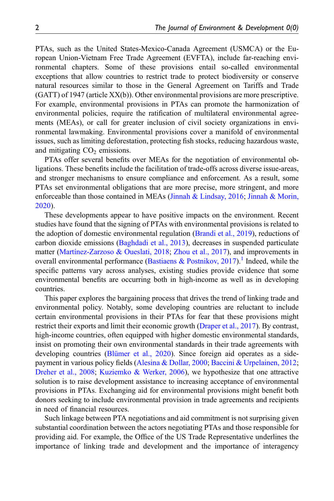PTAs, such as the United States-Mexico-Canada Agreement (USMCA) or the European Union-Vietnam Free Trade Agreement (EVFTA), include far-reaching environmental chapters. Some of these provisions entail so-called environmental exceptions that allow countries to restrict trade to protect biodiversity or conserve natural resources similar to those in the General Agreement on Tariffs and Trade (GATT) of 1947 (article XX(b)). Other environmental provisions are more prescriptive. For example, environmental provisions in PTAs can promote the harmonization of environmental policies, require the ratification of multilateral environmental agreements (MEAs), or call for greater inclusion of civil society organizations in environmental lawmaking. Environmental provisions cover a manifold of environmental issues, such as limiting deforestation, protecting fish stocks, reducing hazardous waste, and mitigating  $CO<sub>2</sub>$  emissions.

PTAs offer several benefits over MEAs for the negotiation of environmental obligations. These benefits include the facilitation of trade-offs across diverse issue-areas, and stronger mechanisms to ensure compliance and enforcement. As a result, some PTAs set environmental obligations that are more precise, more stringent, and more enforceable than those contained in MEAs [\(Jinnah & Lindsay, 2016](#page-25-0); [Jinnah & Morin,](#page-25-1) [2020\)](#page-25-1).

These developments appear to have positive impacts on the environment. Recent studies have found that the signing of PTAs with environmental provisions is related to the adoption of domestic environmental regulation [\(Brandi et al., 2019](#page-24-0)), reductions of carbon dioxide emissions ([Baghdadi et al., 2013](#page-23-0)), decreases in suspended particulate matter (Martí[nez-Zarzoso & Oueslati, 2018](#page-26-0); [Zhou et al., 2017](#page-27-0)), and improvements in overall environmental performance ([Bastiaens & Postnikov, 2017\)](#page-23-1).<sup>[1](#page-20-0)</sup> Indeed, while the specific patterns vary across analyses, existing studies provide evidence that some environmental benefits are occurring both in high-income as well as in developing countries.

This paper explores the bargaining process that drives the trend of linking trade and environmental policy. Notably, some developing countries are reluctant to include certain environmental provisions in their PTAs for fear that these provisions might restrict their exports and limit their economic growth ([Draper et al., 2017\)](#page-25-2). By contrast, high-income countries, often equipped with higher domestic environmental standards, insist on promoting their own environmental standards in their trade agreements with developing countries [\(Blümer et al., 2020](#page-24-1)). Since foreign aid operates as a sidepayment in various policy fields ([Alesina & Dollar, 2000](#page-23-2); [Baccini & Urpelainen, 2012;](#page-23-3) [Dreher et al., 2008](#page-25-3); [Kuziemko & Werker, 2006\)](#page-25-4), we hypothesize that one attractive solution is to raise development assistance to increasing acceptance of environmental provisions in PTAs. Exchanging aid for environmental provisions might benefit both donors seeking to include environmental provision in trade agreements and recipients in need of financial resources.

Such linkage between PTA negotiations and aid commitment is not surprising given substantial coordination between the actors negotiating PTAs and those responsible for providing aid. For example, the Office of the US Trade Representative underlines the importance of linking trade and development and the importance of interagency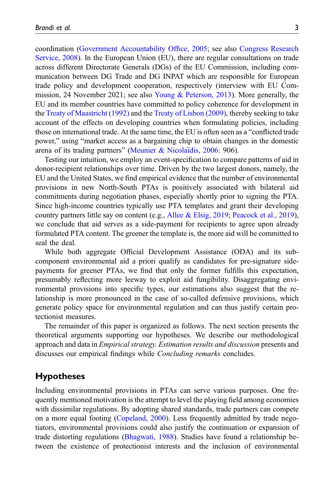coordination [\(Government Accountability Of](#page-25-5)fice, 2005; see also [Congress Research](#page-24-2) [Service, 2008\)](#page-24-2). In the European Union (EU), there are regular consultations on trade across different Directorate Generals (DGs) of the EU Commission, including communication between DG Trade and DG INPAT which are responsible for European trade policy and development cooperation, respectively (interview with EU Commission, 24 November 2021; see also [Young & Peterson, 2013\)](#page-27-1). More generally, the EU and its member countries have committed to policy coherence for development in the [Treaty of Maastricht \(1992\)](#page-27-2) and the [Treaty of Lisbon \(2009\)](#page-26-1), thereby seeking to take account of the effects on developing countries when formulating policies, including those on international trade. At the same time, the EU is often seen as a "conflicted trade power," using "market access as a bargaining chip to obtain changes in the domestic arena of its trading partners" [\(Meunier & Nicola](#page-26-2)ï[dis, 2006](#page-26-2): 906).

Testing our intuition, we employ an event-specification to compare patterns of aid in donor-recipient relationships over time. Driven by the two largest donors, namely, the EU and the United States, we find empirical evidence that the number of environmental provisions in new North-South PTAs is positively associated with bilateral aid commitments during negotiation phases, especially shortly prior to signing the PTA. Since high-income countries typically use PTA templates and grant their developing country partners little say on content (e.g., [Allee & Elsig, 2019;](#page-23-4) [Peacock et al., 2019\)](#page-26-3), we conclude that aid serves as a side-payment for recipients to agree upon already formulated PTA content. The greener the template is, the more aid will be committed to seal the deal.

While both aggregate Official Development Assistance (ODA) and its subcomponent environmental aid a priori qualify as candidates for pre-signature sidepayments for greener PTAs, we find that only the former fulfills this expectation, presumably reflecting more leeway to exploit aid fungibility. Disaggregating environmental provisions into specific types, our estimations also suggest that the relationship is more pronounced in the case of so-called defensive provisions, which generate policy space for environmental regulation and can thus justify certain protectionist measures.

The remainder of this paper is organized as follows. The next section presents the theoretical arguments supporting our hypotheses. We describe our methodological approach and data in *Empirical strategy. Estimation results and discussion* presents and discusses our empirical findings while *Concluding remarks* concludes.

# Hypotheses

Including environmental provisions in PTAs can serve various purposes. One frequently mentioned motivation is the attempt to level the playing field among economies with dissimilar regulations. By adopting shared standards, trade partners can compete on a more equal footing ([Copeland, 2000\)](#page-24-3). Less frequently admitted by trade negotiators, environmental provisions could also justify the continuation or expansion of trade distorting regulations ([Bhagwati, 1988\)](#page-24-4). Studies have found a relationship between the existence of protectionist interests and the inclusion of environmental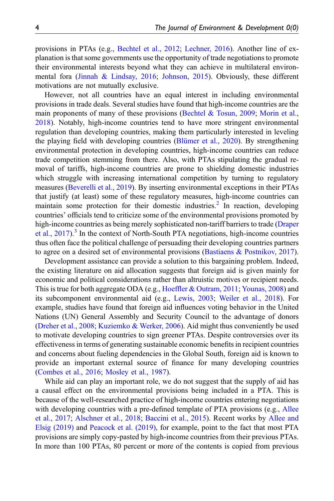provisions in PTAs (e.g., [Bechtel et al., 2012](#page-24-5); [Lechner, 2016](#page-25-6)). Another line of explanation is that some governments use the opportunity of trade negotiations to promote their environmental interests beyond what they can achieve in multilateral environmental fora ([Jinnah & Lindsay, 2016](#page-25-0); [Johnson, 2015](#page-25-7)). Obviously, these different motivations are not mutually exclusive.

However, not all countries have an equal interest in including environmental provisions in trade deals. Several studies have found that high-income countries are the main proponents of many of these provisions (Bechtel  $\&$  Tosun, 2009; [Morin et al.,](#page-26-4) [2018\)](#page-26-4). Notably, high-income countries tend to have more stringent environmental regulation than developing countries, making them particularly interested in leveling the playing field with developing countries [\(Blümer et al., 2020\)](#page-24-1). By strengthening environmental protection in developing countries, high-income countries can reduce trade competition stemming from there. Also, with PTAs stipulating the gradual removal of tariffs, high-income countries are prone to shielding domestic industries which struggle with increasing international competition by turning to regulatory measures ([Beverelli et al., 2019](#page-24-7)). By inserting environmental exceptions in their PTAs that justify (at least) some of these regulatory measures, high-income countries can maintain some protection for their domestic industries.<sup>[2](#page-21-0)</sup> In reaction, developing countries' officials tend to criticize some of the environmental provisions promoted by high-income countries as being merely sophisticated non-tariff barriers to trade [\(Draper](#page-25-2) [et al., 2017](#page-25-2)).<sup>[3](#page-21-1)</sup> In the context of North-South PTA negotiations, high-income countries thus often face the political challenge of persuading their developing countries partners to agree on a desired set of environmental provisions ([Bastiaens & Postnikov, 2017\)](#page-23-1).

Development assistance can provide a solution to this bargaining problem. Indeed, the existing literature on aid allocation suggests that foreign aid is given mainly for economic and political considerations rather than altruistic motives or recipient needs. This is true for both aggregate ODA (e.g., Hoeffl[er & Outram, 2011](#page-25-8); [Younas, 2008\)](#page-27-3) and its subcomponent environmental aid (e.g., [Lewis, 2003](#page-26-5); [Weiler et al., 2018](#page-27-4)). For example, studies have found that foreign aid influences voting behavior in the United Nations (UN) General Assembly and Security Council to the advantage of donors ([Dreher et al., 2008](#page-25-3); [Kuziemko & Werker, 2006\)](#page-25-4). Aid might thus conveniently be used to motivate developing countries to sign greener PTAs. Despite controversies over its effectiveness in terms of generating sustainable economic benefits in recipient countries and concerns about fueling dependencies in the Global South, foreign aid is known to provide an important external source of finance for many developing countries ([Combes et al., 2016](#page-24-8); [Mosley et al., 1987](#page-26-6)).

While aid can play an important role, we do not suggest that the supply of aid has a causal effect on the environmental provisions being included in a PTA. This is because of the well-researched practice of high-income countries entering negotiations with developing countries with a pre-defined template of PTA provisions (e.g., [Allee](#page-23-5) [et al., 2017](#page-23-5); [Alschner et al., 2018;](#page-23-6) [Baccini et al., 2015\)](#page-23-7). Recent works by [Allee and](#page-23-4) [Elsig \(2019\)](#page-23-4) and [Peacock et al. \(2019\)](#page-26-3), for example, point to the fact that most PTA provisions are simply copy-pasted by high-income countries from their previous PTAs. In more than 100 PTAs, 80 percent or more of the contents is copied from previous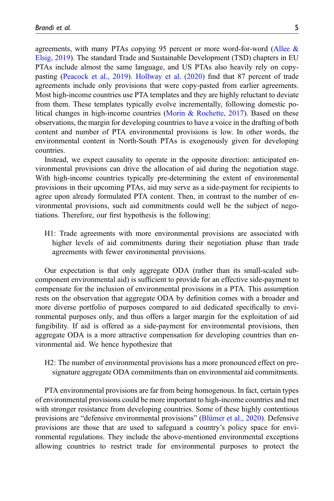agreements, with many PTAs copying 95 percent or more word-for-word ([Allee &](#page-23-4) [Elsig, 2019\)](#page-23-4). The standard Trade and Sustainable Development (TSD) chapters in EU PTAs include almost the same language, and US PTAs also heavily rely on copypasting ([Peacock et al., 2019\)](#page-26-3). [Hollway et al. \(2020\)](#page-25-9) find that 87 percent of trade agreements include only provisions that were copy-pasted from earlier agreements. Most high-income countries use PTA templates and they are highly reluctant to deviate from them. These templates typically evolve incrementally, following domestic political changes in high-income countries ([Morin & Rochette, 2017](#page-26-7)). Based on these observations, the margin for developing countries to have a voice in the drafting of both content and number of PTA environmental provisions is low. In other words, the environmental content in North-South PTAs is exogenously given for developing countries.

Instead, we expect causality to operate in the opposite direction: anticipated environmental provisions can drive the allocation of aid during the negotiation stage. With high-income countries typically pre-determining the extent of environmental provisions in their upcoming PTAs, aid may serve as a side-payment for recipients to agree upon already formulated PTA content. Then, in contrast to the number of environmental provisions, such aid commitments could well be the subject of negotiations. Therefore, our first hypothesis is the following:

H1: Trade agreements with more environmental provisions are associated with higher levels of aid commitments during their negotiation phase than trade agreements with fewer environmental provisions.

Our expectation is that only aggregate ODA (rather than its small-scaled subcomponent environmental aid) is sufficient to provide for an effective side-payment to compensate for the inclusion of environmental provisions in a PTA. This assumption rests on the observation that aggregate ODA by definition comes with a broader and more diverse portfolio of purposes compared to aid dedicated specifically to environmental purposes only, and thus offers a larger margin for the exploitation of aid fungibility. If aid is offered as a side-payment for environmental provisions, then aggregate ODA is a more attractive compensation for developing countries than environmental aid. We hence hypothesize that

H2: The number of environmental provisions has a more pronounced effect on presignature aggregate ODA commitments than on environmental aid commitments.

PTA environmental provisions are far from being homogenous. In fact, certain types of environmental provisions could be more important to high-income countries and met with stronger resistance from developing countries. Some of these highly contentious provisions are "defensive environmental provisions" ([Blümer et al., 2020\)](#page-24-1). Defensive provisions are those that are used to safeguard a country's policy space for environmental regulations. They include the above-mentioned environmental exceptions allowing countries to restrict trade for environmental purposes to protect the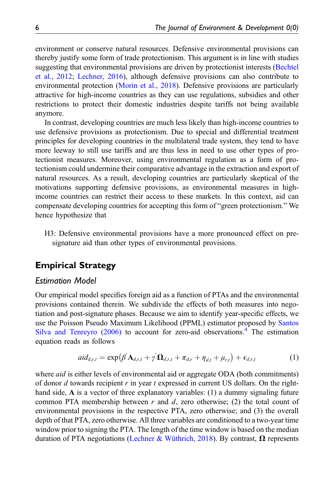environment or conserve natural resources. Defensive environmental provisions can thereby justify some form of trade protectionism. This argument is in line with studies suggesting that environmental provisions are driven by protectionist interests [\(Bechtel](#page-24-5) [et al., 2012](#page-24-5); [Lechner, 2016](#page-25-6)), although defensive provisions can also contribute to environmental protection [\(Morin et al., 2018\)](#page-26-4). Defensive provisions are particularly attractive for high-income countries as they can use regulations, subsidies and other restrictions to protect their domestic industries despite tariffs not being available anymore.

In contrast, developing countries are much less likely than high-income countries to use defensive provisions as protectionism. Due to special and differential treatment principles for developing countries in the multilateral trade system, they tend to have more leeway to still use tariffs and are thus less in need to use other types of protectionist measures. Moreover, using environmental regulation as a form of protectionism could undermine their comparative advantage in the extraction and export of natural resources. As a result, developing countries are particularly skeptical of the motivations supporting defensive provisions, as environmental measures in highincome countries can restrict their access to these markets. In this context, aid can compensate developing countries for accepting this form of "green protectionism." We hence hypothesize that

H3: Defensive environmental provisions have a more pronounced effect on presignature aid than other types of environmental provisions.

# Empirical Strategy

# Estimation Model

Our empirical model specifies foreign aid as a function of PTAs and the environmental provisions contained therein. We subdivide the effects of both measures into negotiation and post-signature phases. Because we aim to identify year-specific effects, we use the Poisson Pseudo Maximum Likelihood (PPML) estimator proposed by [Santos](#page-26-8) Silva and Tenreyro  $(2006)$  to account for zero-aid observations.<sup>[4](#page-21-2)</sup> The estimation equation reads as follows

$$
aid_{d,r,t} = \exp(\beta^{'}\mathbf{A}_{d,r,t} + \gamma^{'}\mathbf{\Omega}_{d,r,t} + \pi_{d,r} + \eta_{d,t} + \mu_{r,t}) + \epsilon_{d,r,t}
$$
(1)

<span id="page-5-0"></span>where *aid* is either levels of environmental aid or aggregate ODA (both commitments) of donor  $d$  towards recipient  $r$  in year  $t$  expressed in current US dollars. On the righthand side, A is a vector of three explanatory variables: (1) a dummy signaling future common PTA membership between  $r$  and  $d$ , zero otherwise; (2) the total count of environmental provisions in the respective PTA, zero otherwise; and (3) the overall depth of that PTA, zero otherwise. All three variables are conditioned to a two-year time window prior to signing the PTA. The length of the time window is based on the median duration of PTA negotiations [\(Lechner & Wüthrich, 2018\)](#page-26-9). By contrast,  $\Omega$  represents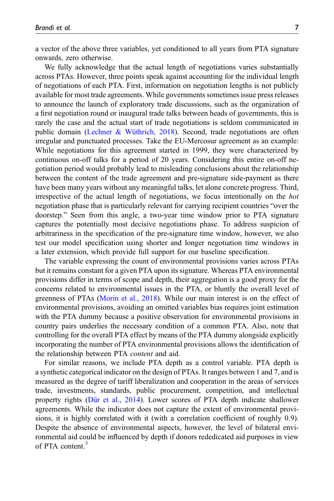a vector of the above three variables, yet conditioned to all years from PTA signature onwards, zero otherwise.

We fully acknowledge that the actual length of negotiations varies substantially across PTAs. However, three points speak against accounting for the individual length of negotiations of each PTA. First, information on negotiation lengths is not publicly available for most trade agreements. While governments sometimes issue press releases to announce the launch of exploratory trade discussions, such as the organization of a first negotiation round or inaugural trade talks between heads of governments, this is rarely the case and the actual start of trade negotiations is seldom communicated in public domain [\(Lechner & Wüthrich, 2018\)](#page-26-9). Second, trade negotiations are often irregular and punctuated processes. Take the EU-Mercosur agreement as an example: While negotiations for this agreement started in 1999, they were characterized by continuous on-off talks for a period of 20 years. Considering this entire on-off negotiation period would probably lead to misleading conclusions about the relationship between the content of the trade agreement and pre-signature side-payment as there have been many years without any meaningful talks, let alone concrete progress. Third, irrespective of the actual length of negotiations, we focus intentionally on the hot negotiation phase that is particularly relevant for carrying recipient countries "over the doorstep." Seen from this angle, a two-year time window prior to PTA signature captures the potentially most decisive negotiations phase. To address suspicion of arbitrariness in the specification of the pre-signature time window, however, we also test our model specification using shorter and longer negotiation time windows in a later extension, which provide full support for our baseline specification.

The variable expressing the count of environmental provisions varies across PTAs but it remains constant for a given PTA upon its signature. Whereas PTA environmental provisions differ in terms of scope and depth, their aggregation is a good proxy for the concerns related to environmental issues in the PTA, or bluntly the overall level of greenness of PTAs ([Morin et al., 2018](#page-26-4)). While our main interest is on the effect of environmental provisions, avoiding an omitted variables bias requires joint estimation with the PTA dummy because a positive observation for environmental provisions in country pairs underlies the necessary condition of a common PTA. Also, note that controlling for the overall PTA effect by means of the PTA dummy alongside explicitly incorporating the number of PTA environmental provisions allows the identification of the relationship between PTA content and aid.

For similar reasons, we include PTA depth as a control variable. PTA depth is a synthetic categorical indicator on the design of PTAs. It ranges between 1 and 7, and is measured as the degree of tariff liberalization and cooperation in the areas of services trade, investments, standards, public procurement, competition, and intellectual property rights ([Dür et al., 2014](#page-25-10)). Lower scores of PTA depth indicate shallower agreements. While the indicator does not capture the extent of environmental provisions, it is highly correlated with it (with a correlation coefficient of roughly 0.9). Despite the absence of environmental aspects, however, the level of bilateral environmental aid could be influenced by depth if donors rededicated aid purposes in view of PTA content.<sup>[5](#page-21-3)</sup>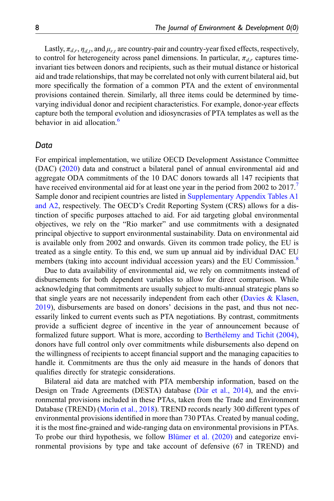Lastly,  $\pi_{d,r}$ ,  $\eta_{d,t}$ , and  $\mu_{r,t}$  are country-pair and country-year fixed effects, respectively, to control for heterogeneity across panel dimensions. In particular,  $\pi_{d,r}$  captures timeinvariant ties between donors and recipients, such as their mutual distance or historical aid and trade relationships, that may be correlated not only with current bilateral aid, but more specifically the formation of a common PTA and the extent of environmental provisions contained therein. Similarly, all three items could be determined by timevarying individual donor and recipient characteristics. For example, donor-year effects capture both the temporal evolution and idiosyncrasies of PTA templates as well as the behavior in aid allocation.<sup>[6](#page-21-4)</sup>

## Data

For empirical implementation, we utilize OECD Development Assistance Committee (DAC) ([2020\)](#page-26-10) data and construct a bilateral panel of annual environmental aid and aggregate ODA commitments of the 10 DAC donors towards all 147 recipients that have received environmental aid for at least one year in the period from 2002 to 201[7](#page-22-0). Sample donor and recipient countries are listed in [Supplementary Appendix Tables A1](https://journals.sagepub.com/doi/suppl/10.1177/10704965221076070) [and A2](https://journals.sagepub.com/doi/suppl/10.1177/10704965221076070), respectively. The OECD's Credit Reporting System (CRS) allows for a distinction of specific purposes attached to aid. For aid targeting global environmental objectives, we rely on the "Rio marker" and use commitments with a designated principal objective to support environmental sustainability. Data on environmental aid is available only from 2002 and onwards. Given its common trade policy, the EU is treated as a single entity. To this end, we sum up annual aid by individual DAC EU members (taking into account individual accession years) and the EU Commission.<sup>[8](#page-22-1)</sup>

Due to data availability of environmental aid, we rely on commitments instead of disbursements for both dependent variables to allow for direct comparison. While acknowledging that commitments are usually subject to multi-annual strategic plans so that single years are not necessarily independent from each other (Davies  $\&$  Klasen, [2019\)](#page-24-9), disbursements are based on donors' decisions in the past, and thus not necessarily linked to current events such as PTA negotiations. By contrast, commitments provide a sufficient degree of incentive in the year of announcement because of formalized future support. What is more, according to Berthélemy and Tichit (2004), donors have full control only over commitments while disbursements also depend on the willingness of recipients to accept financial support and the managing capacities to handle it. Commitments are thus the only aid measure in the hands of donors that qualifies directly for strategic considerations.

Bilateral aid data are matched with PTA membership information, based on the Design on Trade Agreements (DESTA) database [\(Dür et al., 2014](#page-25-10)), and the environmental provisions included in these PTAs, taken from the Trade and Environment Database (TREND) [\(Morin et al., 2018\)](#page-26-4). TREND records nearly 300 different types of environmental provisions identified in more than 730 PTAs. Created by manual coding, it is the most fine-grained and wide-ranging data on environmental provisions in PTAs. To probe our third hypothesis, we follow [Blümer et al. \(2020\)](#page-24-1) and categorize environmental provisions by type and take account of defensive (67 in TREND) and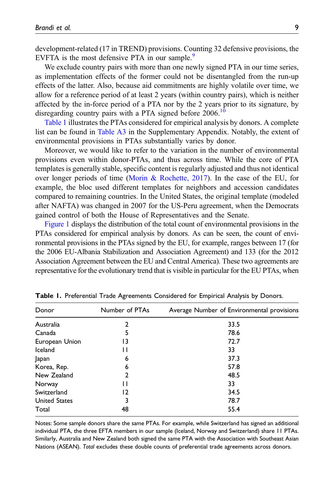development-related (17 in TREND) provisions. Counting 32 defensive provisions, the EVFTA is the most defensive PTA in our sample.<sup>9</sup>

We exclude country pairs with more than one newly signed PTA in our time series, as implementation effects of the former could not be disentangled from the run-up effects of the latter. Also, because aid commitments are highly volatile over time, we allow for a reference period of at least 2 years (within country pairs), which is neither affected by the in-force period of a PTA nor by the 2 years prior to its signature, by disregarding country pairs with a PTA signed before 2006.<sup>[10](#page-22-3)</sup>

[Table 1](#page-8-0) illustrates the PTAs considered for empirical analysis by donors. A complete list can be found in [Table A3](https://journals.sagepub.com/doi/suppl/10.1177/10704965221076070) in the Supplementary Appendix. Notably, the extent of environmental provisions in PTAs substantially varies by donor.

Moreover, we would like to refer to the variation in the number of environmental provisions even within donor-PTAs, and thus across time. While the core of PTA templates is generally stable, specific content is regularly adjusted and thus not identical over longer periods of time [\(Morin & Rochette, 2017](#page-26-7)). In the case of the EU, for example, the bloc used different templates for neighbors and accession candidates compared to remaining countries. In the United States, the original template (modeled after NAFTA) was changed in 2007 for the US-Peru agreement, when the Democrats gained control of both the House of Representatives and the Senate.

[Figure 1](#page-9-0) displays the distribution of the total count of environmental provisions in the PTAs considered for empirical analysis by donors. As can be seen, the count of environmental provisions in the PTAs signed by the EU, for example, ranges between 17 (for the 2006 EU-Albania Stabilization and Association Agreement) and 133 (for the 2012 Association Agreement between the EU and Central America). These two agreements are representative for the evolutionary trend that is visible in particular for the EU PTAs, when

| Donor                | Number of PTAs | Average Number of Environmental provisions |  |  |  |  |
|----------------------|----------------|--------------------------------------------|--|--|--|--|
| Australia            | 2              | 33.5                                       |  |  |  |  |
| Canada               | 5              | 78.6                                       |  |  |  |  |
| European Union       | 13             | 72.7                                       |  |  |  |  |
| Iceland              | п              | 33                                         |  |  |  |  |
| Japan                | 6              | 37.3                                       |  |  |  |  |
| Korea, Rep.          | 6              | 57.8                                       |  |  |  |  |
| New Zealand          | $\overline{2}$ | 48.5                                       |  |  |  |  |
| Norway               | п              | 33                                         |  |  |  |  |
| Switzerland          | 12             | 34.5                                       |  |  |  |  |
| <b>United States</b> | 3              | 78.7                                       |  |  |  |  |
| Total                | 48             | 55.4                                       |  |  |  |  |

Table 1. Preferential Trade Agreements Considered for Empirical Analysis by Donors.

<span id="page-8-0"></span>Notes: Some sample donors share the same PTAs. For example, while Switzerland has signed an additional individual PTA, the three EFTA members in our sample (Iceland, Norway and Switzerland) share 11 PTAs. Similarly, Australia and New Zealand both signed the same PTA with the Association with Southeast Asian Nations (ASEAN). Total excludes these double counts of preferential trade agreements across donors.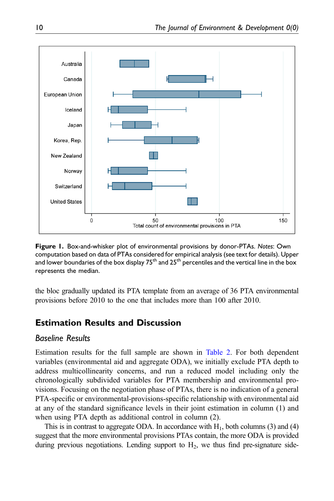

<span id="page-9-0"></span>Figure 1. Box-and-whisker plot of environmental provisions by donor-PTAs. Notes: Own computation based on data of PTAs considered for empirical analysis (see text for details). Upper and lower boundaries of the box display  $75<sup>th</sup>$  and  $25<sup>th</sup>$  percentiles and the vertical line in the box represents the median.

the bloc gradually updated its PTA template from an average of 36 PTA environmental provisions before 2010 to the one that includes more than 100 after 2010.

# Estimation Results and Discussion

# Baseline Results

Estimation results for the full sample are shown in [Table 2.](#page-10-0) For both dependent variables (environmental aid and aggregate ODA), we initially exclude PTA depth to address multicollinearity concerns, and run a reduced model including only the chronologically subdivided variables for PTA membership and environmental provisions. Focusing on the negotiation phase of PTAs, there is no indication of a general PTA-specific or environmental-provisions-specific relationship with environmental aid at any of the standard significance levels in their joint estimation in column (1) and when using PTA depth as additional control in column (2).

This is in contrast to aggregate ODA. In accordance with  $H_1$ , both columns (3) and (4) suggest that the more environmental provisions PTAs contain, the more ODA is provided during previous negotiations. Lending support to  $H_2$ , we thus find pre-signature side-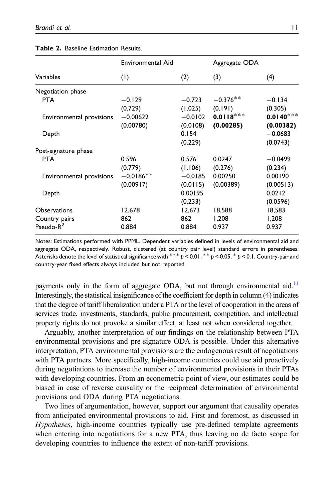| Environmental Aid        |                        | Aggregate ODA            |                          |
|--------------------------|------------------------|--------------------------|--------------------------|
| (1)                      | (2)                    | (3)                      | (4)                      |
|                          |                        |                          |                          |
| $-0.129$<br>(0.729)      | $-0.723$<br>(1.025)    | $-0.376**$<br>(0.191)    | $-0.134$<br>(0.305)      |
| $-0.00622$<br>(0.00780)  | $-0.0102$<br>(0.0108)  | $0.0118***$<br>(0.00285) | $0.0140***$<br>(0.00382) |
|                          | 0.154<br>(0.229)       |                          | $-0.0683$<br>(0.0743)    |
|                          |                        |                          |                          |
| 0.596<br>(0.779)         | 0.576<br>(1.106)       | 0.0247<br>(0.276)        | $-0.0499$<br>(0.234)     |
| $-0.0186**$<br>(0.00917) | $-0.0185$<br>(0.0115)  | 0.00250<br>(0.00389)     | 0.00190<br>(0.00513)     |
|                          | 0.00195<br>(0.233)     |                          | 0.0212<br>(0.0596)       |
| 12,678<br>862<br>0.884   | 12,673<br>862<br>0.884 | 18,588<br>1,208<br>0.937 | 18,583<br>1,208<br>0.937 |
|                          |                        |                          |                          |

#### Table 2. Baseline Estimation Results.

<span id="page-10-0"></span>Notes: Estimations performed with PPML. Dependent variables defined in levels of environmental aid and aggregate ODA, respectively. Robust, clustered (at country pair level) standard errors in parentheses. Asterisks denote the level of statistical significance with  $*** p < 0.01$ ,  $** p < 0.05$ ,  $* p < 0.1$ . Country-pair and country-year fixed effects always included but not reported.

payments only in the form of aggregate ODA, but not through environmental aid.<sup>11</sup> Interestingly, the statistical insignificance of the coefficient for depth in column (4) indicates that the degree of tariff liberalization under a PTA or the level of cooperation in the areas of services trade, investments, standards, public procurement, competition, and intellectual property rights do not provoke a similar effect, at least not when considered together.

Arguably, another interpretation of our findings on the relationship between PTA environmental provisions and pre-signature ODA is possible. Under this alternative interpretation, PTA environmental provisions are the endogenous result of negotiations with PTA partners. More specifically, high-income countries could use aid proactively during negotiations to increase the number of environmental provisions in their PTAs with developing countries. From an econometric point of view, our estimates could be biased in case of reverse causality or the reciprocal determination of environmental provisions and ODA during PTA negotiations.

Two lines of argumentation, however, support our argument that causality operates from anticipated environmental provisions to aid. First and foremost, as discussed in Hypotheses, high-income countries typically use pre-defined template agreements when entering into negotiations for a new PTA, thus leaving no de facto scope for developing countries to influence the extent of non-tariff provisions.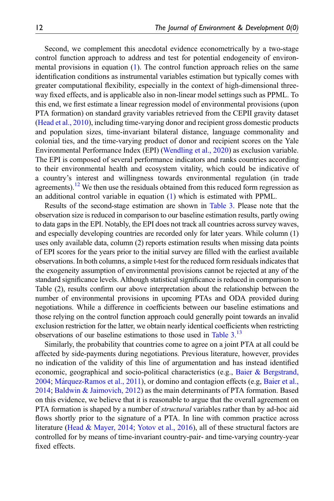Second, we complement this anecdotal evidence econometrically by a two-stage control function approach to address and test for potential endogeneity of environmental provisions in equation [\(1](#page-5-0)). The control function approach relies on the same identification conditions as instrumental variables estimation but typically comes with greater computational flexibility, especially in the context of high-dimensional threeway fixed effects, and is applicable also in non-linear model settings such as PPML. To this end, we first estimate a linear regression model of environmental provisions (upon PTA formation) on standard gravity variables retrieved from the CEPII gravity dataset ([Head et al., 2010\)](#page-25-11), including time-varying donor and recipient gross domestic products and population sizes, time-invariant bilateral distance, language commonality and colonial ties, and the time-varying product of donor and recipient scores on the Yale Environmental Performance Index (EPI) [\(Wendling et al., 2020\)](#page-27-5) as exclusion variable. The EPI is composed of several performance indicators and ranks countries according to their environmental health and ecosystem vitality, which could be indicative of a country's interest and willingness towards environmental regulation (in trade agreements).<sup>[12](#page-22-5)</sup> We then use the residuals obtained from this reduced form regression as an additional control variable in equation [\(1](#page-5-0)) which is estimated with PPML.

Results of the second-stage estimation are shown in [Table 3](#page-12-0). Please note that the observation size is reduced in comparison to our baseline estimation results, partly owing to data gaps in the EPI. Notably, the EPI does not track all countries across survey waves, and especially developing countries are recorded only for later years. While column (1) uses only available data, column (2) reports estimation results when missing data points of EPI scores for the years prior to the initial survey are filled with the earliest available observations. In both columns, a simple t-test for the reduced form residuals indicates that the exogeneity assumption of environmental provisions cannot be rejected at any of the standard significance levels. Although statistical significance is reduced in comparison to Table (2), results confirm our above interpretation about the relationship between the number of environmental provisions in upcoming PTAs and ODA provided during negotiations. While a difference in coefficients between our baseline estimations and those relying on the control function approach could generally point towards an invalid exclusion restriction for the latter, we obtain nearly identical coefficients when restricting observations of our baseline estimations to those used in [Table 3](#page-12-0). [13](#page-22-6)

Similarly, the probability that countries come to agree on a joint PTA at all could be affected by side-payments during negotiations. Previous literature, however, provides no indication of the validity of this line of argumentation and has instead identified economic, geographical and socio-political characteristics (e.g., [Baier & Bergstrand,](#page-23-8) [2004;](#page-23-8) Márquez-Ramos et al., 2011), or domino and contagion effects (e.g, [Baier et al.,](#page-23-9) [2014;](#page-23-9) [Baldwin & Jaimovich, 2012\)](#page-23-10) as the main determinants of PTA formation. Based on this evidence, we believe that it is reasonable to argue that the overall agreement on PTA formation is shaped by a number of *structural* variables rather than by ad-hoc aid flows shortly prior to the signature of a PTA. In line with common practice across literature [\(Head & Mayer, 2014](#page-25-12); [Yotov et al., 2016](#page-27-6)), all of these structural factors are controlled for by means of time-invariant country-pair- and time-varying country-year fixed effects.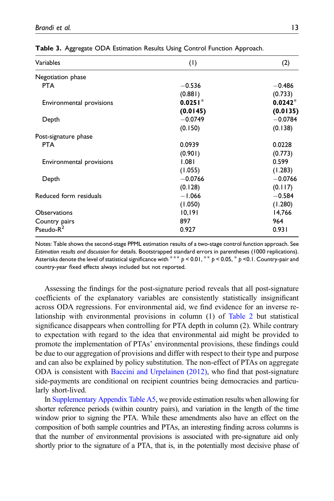| Variables                | (1)       | (2)       |  |
|--------------------------|-----------|-----------|--|
| Negotiation phase        |           |           |  |
| <b>PTA</b>               | $-0.536$  | $-0.486$  |  |
|                          | (0.881)   | (0.733)   |  |
| Environmental provisions | $0.0251*$ | $0.0242*$ |  |
|                          | (0.0145)  | (0.0135)  |  |
| Depth                    | $-0.0749$ | $-0.0784$ |  |
|                          | (0.150)   | (0.138)   |  |
| Post-signature phase     |           |           |  |
| <b>PTA</b>               | 0.0939    | 0.0228    |  |
|                          | (0.901)   | (0.773)   |  |
| Environmental provisions | 1.081     | 0.599     |  |
|                          | (1.055)   | (1.283)   |  |
| Depth                    | $-0.0766$ | $-0.0766$ |  |
|                          | (0.128)   | (0.117)   |  |
| Reduced form residuals   | $-1.066$  | $-0.584$  |  |
|                          | (1.050)   | (1.280)   |  |
| <b>Observations</b>      | 10,191    | 14,766    |  |
| Country pairs            | 897       | 964       |  |
| Pseudo- $R^2$            | 0.927     | 0.931     |  |

Table 3. Aggregate ODA Estimation Results Using Control Function Approach.

<span id="page-12-0"></span>Notes: Table shows the second-stage PPML estimation results of a two-stage control function approach. See Estimation results and discussion for details. Bootstrapped standard errors in parentheses (1000 replications). Asterisks denote the level of statistical significance with  $*** p < 0.01$ ,  $** p < 0.05$ ,  $* p < 0.1$ . Country-pair and country-year fixed effects always included but not reported.

Assessing the findings for the post-signature period reveals that all post-signature coefficients of the explanatory variables are consistently statistically insignificant across ODA regressions. For environmental aid, we find evidence for an inverse relationship with environmental provisions in column (1) of [Table 2](#page-10-0) but statistical significance disappears when controlling for PTA depth in column (2). While contrary to expectation with regard to the idea that environmental aid might be provided to promote the implementation of PTAs' environmental provisions, these findings could be due to our aggregation of provisions and differ with respect to their type and purpose and can also be explained by policy substitution. The non-effect of PTAs on aggregate ODA is consistent with [Baccini and Urpelainen \(2012\),](#page-23-3) who find that post-signature side-payments are conditional on recipient countries being democracies and particularly short-lived.

In [Supplementary Appendix Table A5](https://journals.sagepub.com/doi/suppl/10.1177/10704965221076070), we provide estimation results when allowing for shorter reference periods (within country pairs), and variation in the length of the time window prior to signing the PTA. While these amendments also have an effect on the composition of both sample countries and PTAs, an interesting finding across columns is that the number of environmental provisions is associated with pre-signature aid only shortly prior to the signature of a PTA, that is, in the potentially most decisive phase of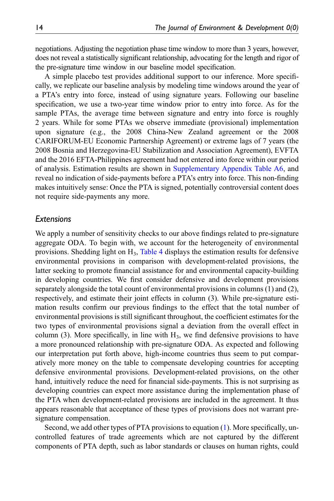negotiations. Adjusting the negotiation phase time window to more than 3 years, however, does not reveal a statistically significant relationship, advocating for the length and rigor of the pre-signature time window in our baseline model specification.

A simple placebo test provides additional support to our inference. More specifically, we replicate our baseline analysis by modeling time windows around the year of a PTA's entry into force, instead of using signature years. Following our baseline specification, we use a two-year time window prior to entry into force. As for the sample PTAs, the average time between signature and entry into force is roughly 2 years. While for some PTAs we observe immediate (provisional) implementation upon signature (e.g., the 2008 China-New Zealand agreement or the 2008 CARIFORUM-EU Economic Partnership Agreement) or extreme lags of 7 years (the 2008 Bosnia and Herzegovina-EU Stabilization and Association Agreement), EVFTA and the 2016 EFTA-Philippines agreement had not entered into force within our period of analysis. Estimation results are shown in [Supplementary Appendix Table A6](https://journals.sagepub.com/doi/suppl/10.1177/10704965221076070), and reveal no indication of side-payments before a PTA's entry into force. This non-finding makes intuitively sense: Once the PTA is signed, potentially controversial content does not require side-payments any more.

# **Extensions**

We apply a number of sensitivity checks to our above findings related to pre-signature aggregate ODA. To begin with, we account for the heterogeneity of environmental provisions. Shedding light on  $H_3$ , [Table 4](#page-14-0) displays the estimation results for defensive environmental provisions in comparison with development-related provisions, the latter seeking to promote financial assistance for and environmental capacity-building in developing countries. We first consider defensive and development provisions separately alongside the total count of environmental provisions in columns (1) and (2), respectively, and estimate their joint effects in column (3). While pre-signature estimation results confirm our previous findings to the effect that the total number of environmental provisions is still significant throughout, the coefficient estimates for the two types of environmental provisions signal a deviation from the overall effect in column (3). More specifically, in line with  $H_3$ , we find defensive provisions to have a more pronounced relationship with pre-signature ODA. As expected and following our interpretation put forth above, high-income countries thus seem to put comparatively more money on the table to compensate developing countries for accepting defensive environmental provisions. Development-related provisions, on the other hand, intuitively reduce the need for financial side-payments. This is not surprising as developing countries can expect more assistance during the implementation phase of the PTA when development-related provisions are included in the agreement. It thus appears reasonable that acceptance of these types of provisions does not warrant presignature compensation.

Second, we add other types of PTA provisions to equation [\(1](#page-5-0)). More specifically, uncontrolled features of trade agreements which are not captured by the different components of PTA depth, such as labor standards or clauses on human rights, could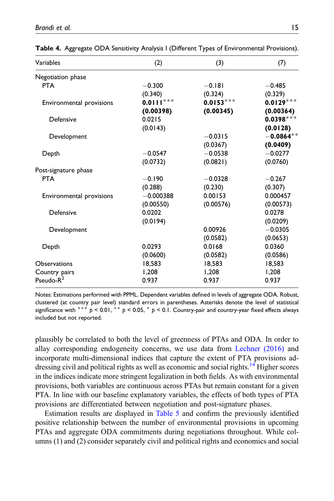| Variables                | (2)         | (3)         | (7)         |
|--------------------------|-------------|-------------|-------------|
| Negotiation phase        |             |             |             |
| <b>PTA</b>               | $-0.300$    | $-0.181$    | $-0.485$    |
|                          | (0.340)     | (0.324)     | (0.329)     |
| Environmental provisions | $0.0111***$ | $0.0153***$ | $0.0129***$ |
|                          | (0.00398)   | (0.00345)   | (0.00364)   |
| Defensive                | 0.0215      |             | $0.0398***$ |
|                          | (0.0143)    |             | (0.0128)    |
| Development              |             | $-0.0315$   | $-0.0864**$ |
|                          |             | (0.0367)    | (0.0409)    |
| Depth                    | $-0.0547$   | $-0.0538$   | $-0.0277$   |
|                          | (0.0732)    | (0.0821)    | (0.0760)    |
| Post-signature phase     |             |             |             |
| <b>PTA</b>               | $-0.190$    | $-0.0328$   | $-0.267$    |
|                          | (0.288)     | (0.230)     | (0.307)     |
| Environmental provisions | $-0.000388$ | 0.00153     | 0.000457    |
|                          | (0.00550)   | (0.00576)   | (0.00573)   |
| Defensive                | 0.0202      |             | 0.0278      |
|                          | (0.0194)    |             | (0.0209)    |
| Development              |             | 0.00926     | $-0.0305$   |
|                          |             | (0.0582)    | (0.0653)    |
| Depth                    | 0.0293      | 0.0168      | 0.0360      |
|                          | (0.0600)    | (0.0582)    | (0.0586)    |
| <b>Observations</b>      | 18.583      | 18.583      | 18,583      |
| Country pairs            | 1,208       | 1,208       | 1,208       |
| Pseudo- $R^2$            | 0.937       | 0.937       | 0.937       |

Table 4. Aggregate ODA Sensitivity Analysis I (Different Types of Environmental Provisions).

<span id="page-14-0"></span>Notes: Estimations performed with PPML. Dependent variables defined in levels of aggregate ODA. Robust, clustered (at country pair level) standard errors in parentheses. Asterisks denote the level of statistical significance with  $*** p < 0.01$ ,  $** p < 0.05$ ,  $* p < 0.1$ . Country-pair and country-year fixed effects always included but not reported.

plausibly be correlated to both the level of greenness of PTAs and ODA. In order to allay corresponding endogeneity concerns, we use data from [Lechner \(2016\)](#page-25-6) and incorporate multi-dimensional indices that capture the extent of PTA provisions ad-dressing civil and political rights as well as economic and social rights.<sup>[14](#page-22-7)</sup> Higher scores in the indices indicate more stringent legalization in both fields. As with environmental provisions, both variables are continuous across PTAs but remain constant for a given PTA. In line with our baseline explanatory variables, the effects of both types of PTA provisions are differentiated between negotiation and post-signature phases.

Estimation results are displayed in [Table 5](#page-15-0) and confirm the previously identified positive relationship between the number of environmental provisions in upcoming PTAs and aggregate ODA commitments during negotiations throughout. While columns (1) and (2) consider separately civil and political rights and economics and social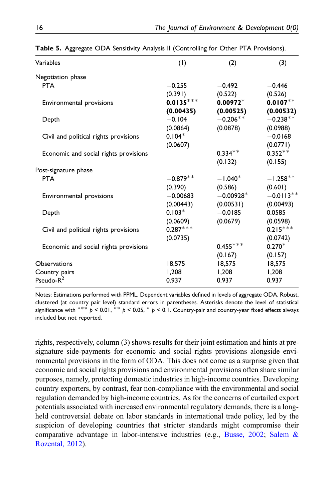| Variables                             | (1)         | (2)         | (3)         |
|---------------------------------------|-------------|-------------|-------------|
| Negotiation phase                     |             |             |             |
| <b>PTA</b>                            | $-0.255$    | $-0.492$    | $-0.446$    |
|                                       | (0.391)     | (0.522)     | (0.526)     |
| Environmental provisions              | $0.0135***$ | $0.00972*$  | $0.0107**$  |
|                                       | (0.00435)   | (0.00525)   | (0.00532)   |
| Depth                                 | $-0.104$    | $-0.206**$  | $-0.238**$  |
|                                       | (0.0864)    | (0.0878)    | (0.0988)    |
| Civil and political rights provisions | $0.104*$    |             | $-0.0168$   |
|                                       | (0.0607)    |             | (0.0771)    |
| Economic and social rights provisions |             | $0.334***$  | $0.352**$   |
|                                       |             | (0.132)     | (0.155)     |
| Post-signature phase                  |             |             |             |
| <b>PTA</b>                            | $-0.879**$  | $-1.040*$   | $-1.258**$  |
|                                       | (0.390)     | (0.586)     | (0.601)     |
| Environmental provisions              | $-0.00683$  | $-0.00928*$ | $-0.0113**$ |
|                                       | (0.00443)   | (0.00531)   | (0.00493)   |
| Depth                                 | $0.103*$    | $-0.0185$   | 0.0585      |
|                                       | (0.0609)    | (0.0679)    | (0.0598)    |
| Civil and political rights provisions | $0.287***$  |             | $0.215***$  |
|                                       | (0.0735)    |             | (0.0742)    |
| Economic and social rights provisions |             | $0.455***$  | $0.270*$    |
|                                       |             | (0.167)     | (0.157)     |
| <b>Observations</b>                   | 18,575      | 18,575      | 18,575      |
| Country pairs                         | 1.208       | 1,208       | 1,208       |
| Pseudo-R <sup>2</sup>                 | 0.937       | 0.937       | 0.937       |

Table 5. Aggregate ODA Sensitivity Analysis II (Controlling for Other PTA Provisions).

<span id="page-15-0"></span>Notes: Estimations performed with PPML. Dependent variables defined in levels of aggregate ODA. Robust, clustered (at country pair level) standard errors in parentheses. Asterisks denote the level of statistical significance with  $*** p < 0.01$ ,  $** p < 0.05$ ,  $* p < 0.1$ . Country-pair and country-year fixed effects always included but not reported.

rights, respectively, column (3) shows results for their joint estimation and hints at presignature side-payments for economic and social rights provisions alongside environmental provisions in the form of ODA. This does not come as a surprise given that economic and social rights provisions and environmental provisions often share similar purposes, namely, protecting domestic industries in high-income countries. Developing country exporters, by contrast, fear non-compliance with the environmental and social regulation demanded by high-income countries. As for the concerns of curtailed export potentials associated with increased environmental regulatory demands, there is a longheld controversial debate on labor standards in international trade policy, led by the suspicion of developing countries that stricter standards might compromise their comparative advantage in labor-intensive industries (e.g., [Busse, 2002](#page-24-11); [Salem &](#page-26-12) [Rozental, 2012\)](#page-26-12).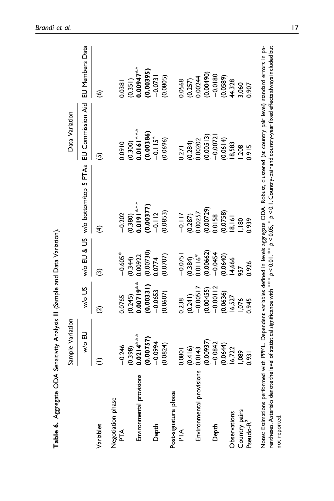<span id="page-16-0"></span>

|                                                                                                                                                                                                                                                                                                                                                            | Sample Variation         |                          |                        |                                         | Data Variation                     |                                     |
|------------------------------------------------------------------------------------------------------------------------------------------------------------------------------------------------------------------------------------------------------------------------------------------------------------------------------------------------------------|--------------------------|--------------------------|------------------------|-----------------------------------------|------------------------------------|-------------------------------------|
|                                                                                                                                                                                                                                                                                                                                                            | Mo EU                    | W/o US                   |                        | w/o EU & US w/o bottom/top 5 PTAs       | EU Commission Aid                  | EU Members Data                     |
| Variables                                                                                                                                                                                                                                                                                                                                                  |                          | ପି                       | ම                      | €                                       | ම                                  | $\widehat{\mathbf{e}}$              |
| Negotiation phase<br>PTA                                                                                                                                                                                                                                                                                                                                   | $-0.246$<br>(0.398)      | (0.245)<br>0.0765        | $-0.605*$<br>(0.344)   | $-0.202$                                | 0.0910                             | 0.0381                              |
| Environmental provisions                                                                                                                                                                                                                                                                                                                                   | $0.0214***$<br>(0.00757) | $0.00719**$<br>(0.00331) | (0.00730)<br>0.00922   | $(0.380)$<br>$0.0191***$<br>$(0.00377)$ | $(0.300)$<br>0.0161***<br>0.00386) | $(0.351)$<br>0.00947**<br>(0.00395) |
| Depth                                                                                                                                                                                                                                                                                                                                                      | $-0.0994$                | $-0.0653$                | 0.0774                 | $-0.112$                                | $-0.115*$                          | $-0.0731$                           |
|                                                                                                                                                                                                                                                                                                                                                            | (0.0824)                 | (0.0607)                 | (0.0707)               | (0.0853)                                | (0.0696)                           | (0.0805)                            |
| Post-signature phase<br>Ě                                                                                                                                                                                                                                                                                                                                  | 0.0801                   | 0.238                    | $-0.075$               | $-0.117$                                | 0.271                              | 0.0568                              |
|                                                                                                                                                                                                                                                                                                                                                            | (0.416)                  | (0.241)                  | $(0.384)$<br>$0.0116*$ | $(0.287)$<br>$0.00257$                  | $(0.284)$<br>$0.00202$             | $(0.257)$<br>$0.00244$              |
| Environmental provisions                                                                                                                                                                                                                                                                                                                                   | (0.00937)<br>0.0143      | $-0.00517$<br>(0.00455)  | 0.00662                | (0.00729)                               | (0.00513)                          | (0.00490)                           |
| Depth                                                                                                                                                                                                                                                                                                                                                      | $-0.0842$                | $-0.00112$               | $-0.0454$              | 0.0158                                  | $-0.0072$                          | $-0.0180$                           |
|                                                                                                                                                                                                                                                                                                                                                            | 0.0644                   | 0.0636)                  | (0.0640)               | (0.0758)                                | 0.0614                             | (0.0589)                            |
| Observations                                                                                                                                                                                                                                                                                                                                               | 16,722                   | 6,527                    | 14,666                 | 8,161                                   | 8,583                              | 44,328                              |
|                                                                                                                                                                                                                                                                                                                                                            | 1,089                    | 1,076                    |                        | $\frac{180}{1}$                         | 1,208                              | 3,060                               |
| Country pairs<br>Pseudo-R <sup>2</sup>                                                                                                                                                                                                                                                                                                                     | $\overline{560}$         | 0.945                    | 0.926                  | 0.939                                   | 3.915                              | 1.907                               |
| Notes: Estimations performed with PPML. Dependent variables defined in levels aggregate ODA. Robust, clustered (at country pair level) standard errors in pa-<br>rentheses. Asterisks denote the level of statistical significance with $^{***}$ b < 0.01, $^{**}$ p < 0.05, $^*$ p < 0.1. Country-pair and country-year fixed effects always included but |                          |                          |                        |                                         |                                    |                                     |

Table 6. Aggregate ODA Sensitivity Analysis III (Sample and Data Variation). Table 6. Aggregate ODA Sensitivity Analysis III (Sample and Data Variation).

not reported.

not reported.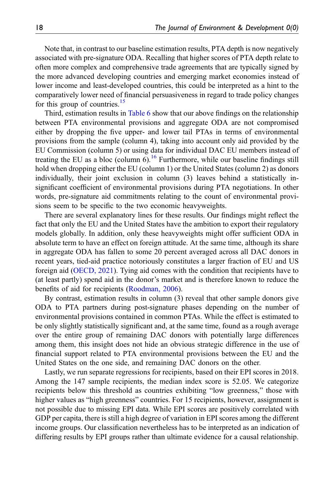Note that, in contrast to our baseline estimation results, PTA depth is now negatively associated with pre-signature ODA. Recalling that higher scores of PTA depth relate to often more complex and comprehensive trade agreements that are typically signed by the more advanced developing countries and emerging market economies instead of lower income and least-developed countries, this could be interpreted as a hint to the comparatively lower need of financial persuasiveness in regard to trade policy changes for this group of countries.<sup>[15](#page-22-8)</sup>

Third, estimation results in [Table 6](#page-16-0) show that our above findings on the relationship between PTA environmental provisions and aggregate ODA are not compromised either by dropping the five upper- and lower tail PTAs in terms of environmental provisions from the sample (column 4), taking into account only aid provided by the EU Commission (column 5) or using data for individual DAC EU members instead of treating the EU as a bloc (column  $6$ ).<sup>[16](#page-23-11)</sup> Furthermore, while our baseline findings still hold when dropping either the EU (column 1) or the United States (column 2) as donors individually, their joint exclusion in column (3) leaves behind a statistically insignificant coefficient of environmental provisions during PTA negotiations. In other words, pre-signature aid commitments relating to the count of environmental provisions seem to be specific to the two economic heavyweights.

There are several explanatory lines for these results. Our findings might reflect the fact that only the EU and the United States have the ambition to export their regulatory models globally. In addition, only these heavyweights might offer sufficient ODA in absolute term to have an effect on foreign attitude. At the same time, although its share in aggregate ODA has fallen to some 20 percent averaged across all DAC donors in recent years, tied-aid practice notoriously constitutes a larger fraction of EU and US foreign aid ([OECD, 2021\)](#page-26-13). Tying aid comes with the condition that recipients have to (at least partly) spend aid in the donor's market and is therefore known to reduce the benefits of aid for recipients [\(Roodman, 2006\)](#page-26-14).

By contrast, estimation results in column (3) reveal that other sample donors give ODA to PTA partners during post-signature phases depending on the number of environmental provisions contained in common PTAs. While the effect is estimated to be only slightly statistically significant and, at the same time, found as a rough average over the entire group of remaining DAC donors with potentially large differences among them, this insight does not hide an obvious strategic difference in the use of financial support related to PTA environmental provisions between the EU and the United States on the one side, and remaining DAC donors on the other.

Lastly, we run separate regressions for recipients, based on their EPI scores in 2018. Among the 147 sample recipients, the median index score is 52.05. We categorize recipients below this threshold as countries exhibiting "low greenness," those with higher values as "high greenness" countries. For 15 recipients, however, assignment is not possible due to missing EPI data. While EPI scores are positively correlated with GDP per capita, there is still a high degree of variation in EPI scores among the different income groups. Our classification nevertheless has to be interpreted as an indication of differing results by EPI groups rather than ultimate evidence for a causal relationship.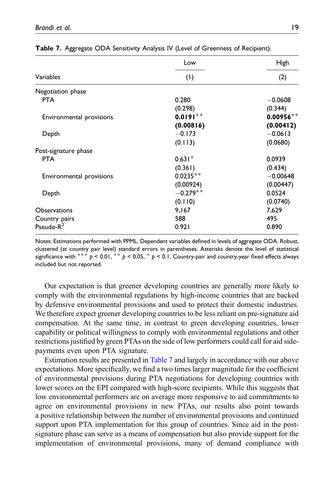|                          | Low        | High        |  |  |
|--------------------------|------------|-------------|--|--|
| Variables                | (1)        | (2)         |  |  |
| Negotiation phase        |            |             |  |  |
| <b>PTA</b>               | 0.280      | $-0.0608$   |  |  |
|                          | (0.298)    | (0.344)     |  |  |
| Environmental provisions | $0.0191**$ | $0.00956**$ |  |  |
|                          | (0.00816)  | (0.00412)   |  |  |
| Depth                    | $-0.173$   | $-0.0613$   |  |  |
|                          | (0.113)    | (0.0680)    |  |  |
| Post-signature phase     |            |             |  |  |
| <b>PTA</b>               | $0.631*$   | 0.0939      |  |  |
|                          | (0.361)    | (0.434)     |  |  |
| Environmental provisions | $0.0235**$ | $-0.00648$  |  |  |
|                          | (0.00924)  | (0.00447)   |  |  |
| Depth                    | $-0.279**$ | 0.0524      |  |  |
|                          | (0.110)    | (0.0740)    |  |  |
| <b>Observations</b>      | 9,167      | 7,629       |  |  |
| Country pairs            | 588        | 495         |  |  |
| Pseudo- $R^2$            | 0.921      | 0.890       |  |  |

|  |  |  |  |  |  |  | Table 7. Aggregate ODA Sensitivity Analysis IV (Level of Greenness of Recipient). |  |  |  |  |
|--|--|--|--|--|--|--|-----------------------------------------------------------------------------------|--|--|--|--|
|--|--|--|--|--|--|--|-----------------------------------------------------------------------------------|--|--|--|--|

<span id="page-18-0"></span>Notes: Estimations performed with PPML. Dependent variables defined in levels of aggregate ODA. Robust, clustered (at country pair level) standard errors in parentheses. Asterisks denote the level of statistical significance with  $*** p < 0.01$ ,  $** p < 0.05$ ,  $* p < 0.1$ . Country-pair and country-year fixed effects always included but not reported.

Our expectation is that greener developing countries are generally more likely to comply with the environmental regulations by high-income countries that are backed by defensive environmental provisions and used to protect their domestic industries. We therefore expect greener developing countries to be less reliant on pre-signature aid compensation. At the same time, in contrast to green developing countries, lower capability or political willingness to comply with environmental regulations and other restrictions justified by green PTAs on the side of low performers could call for aid sidepayments even upon PTA signature.

Estimation results are presented in [Table 7](#page-18-0) and largely in accordance with our above expectations. More specifically, we find a two times larger magnitude for the coefficient of environmental provisions during PTA negotiations for developing countries with lower scores on the EPI compared with high-score recipients. While this suggests that low environmental performers are on average more responsive to aid commitments to agree on environmental provisions in new PTAs, our results also point towards a positive relationship between the number of environmental provisions and continued support upon PTA implementation for this group of countries. Since aid in the postsignature phase can serve as a means of compensation but also provide support for the implementation of environmental provisions, many of demand compliance with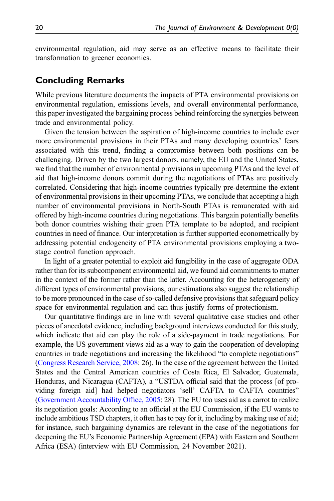environmental regulation, aid may serve as an effective means to facilitate their transformation to greener economies.

# Concluding Remarks

While previous literature documents the impacts of PTA environmental provisions on environmental regulation, emissions levels, and overall environmental performance, this paper investigated the bargaining process behind reinforcing the synergies between trade and environmental policy.

Given the tension between the aspiration of high-income countries to include ever more environmental provisions in their PTAs and many developing countries' fears associated with this trend, finding a compromise between both positions can be challenging. Driven by the two largest donors, namely, the EU and the United States, we find that the number of environmental provisions in upcoming PTAs and the level of aid that high-income donors commit during the negotiations of PTAs are positively correlated. Considering that high-income countries typically pre-determine the extent of environmental provisions in their upcoming PTAs, we conclude that accepting a high number of environmental provisions in North-South PTAs is remunerated with aid offered by high-income countries during negotiations. This bargain potentially benefits both donor countries wishing their green PTA template to be adopted, and recipient countries in need of finance. Our interpretation is further supported econometrically by addressing potential endogeneity of PTA environmental provisions employing a twostage control function approach.

In light of a greater potential to exploit aid fungibility in the case of aggregate ODA rather than for its subcomponent environmental aid, we found aid commitments to matter in the context of the former rather than the latter. Accounting for the heterogeneity of different types of environmental provisions, our estimations also suggest the relationship to be more pronounced in the case of so-called defensive provisions that safeguard policy space for environmental regulation and can thus justify forms of protectionism.

Our quantitative findings are in line with several qualitative case studies and other pieces of anecdotal evidence, including background interviews conducted for this study, which indicate that aid can play the role of a side-payment in trade negotiations. For example, the US government views aid as a way to gain the cooperation of developing countries in trade negotiations and increasing the likelihood "to complete negotiations" ([Congress Research Service, 2008](#page-24-2): 26). In the case of the agreement between the United States and the Central American countries of Costa Rica, El Salvador, Guatemala, Honduras, and Nicaragua (CAFTA), a "USTDA official said that the process [of providing foreign aid] had helped negotiators 'sell' CAFTA to CAFTA countries" ([Government Accountability Of](#page-25-5)fice, 2005: 28). The EU too uses aid as a carrot to realize its negotiation goals: According to an official at the EU Commission, if the EU wants to include ambitious TSD chapters, it often has to pay for it, including by making use of aid; for instance, such bargaining dynamics are relevant in the case of the negotiations for deepening the EU's Economic Partnership Agreement (EPA) with Eastern and Southern Africa (ESA) (interview with EU Commission, 24 November 2021).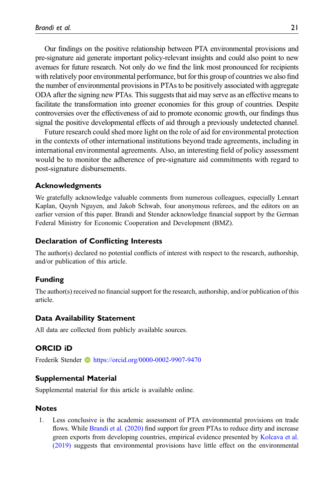Our findings on the positive relationship between PTA environmental provisions and pre-signature aid generate important policy-relevant insights and could also point to new avenues for future research. Not only do we find the link most pronounced for recipients with relatively poor environmental performance, but for this group of countries we also find the number of environmental provisions in PTAs to be positively associated with aggregate ODA after the signing new PTAs. This suggests that aid may serve as an effective means to facilitate the transformation into greener economies for this group of countries. Despite controversies over the effectiveness of aid to promote economic growth, our findings thus signal the positive developmental effects of aid through a previously undetected channel.

Future research could shed more light on the role of aid for environmental protection in the contexts of other international institutions beyond trade agreements, including in international environmental agreements. Also, an interesting field of policy assessment would be to monitor the adherence of pre-signature aid commitments with regard to post-signature disbursements.

## Acknowledgments

We gratefully acknowledge valuable comments from numerous colleagues, especially Lennart Kaplan, Quynh Nguyen, and Jakob Schwab, four anonymous referees, and the editors on an earlier version of this paper. Brandi and Stender acknowledge financial support by the German Federal Ministry for Economic Cooperation and Development (BMZ).

## Declaration of Conflicting Interests

The author(s) declared no potential conflicts of interest with respect to the research, authorship, and/or publication of this article.

### Funding

The author(s) received no financial support for the research, authorship, and/or publication of this article.

### Data Availability Statement

All data are collected from publicly available sources.

## ORCID iD

Frederik Stender **b** <https://orcid.org/0000-0002-9907-9470>

## Supplemental Material

Supplemental material for this article is available online.

## Notes

<span id="page-20-0"></span>1. Less conclusive is the academic assessment of PTA environmental provisions on trade flows. While [Brandi et al. \(2020\)](#page-24-12) find support for green PTAs to reduce dirty and increase green exports from developing countries, empirical evidence presented by [Kolcava et al.](#page-25-13) [\(2019\)](#page-25-13) suggests that environmental provisions have little effect on the environmental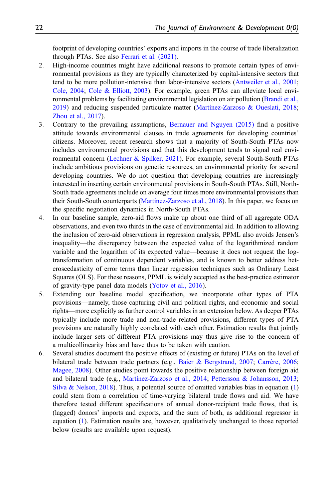footprint of developing countries' exports and imports in the course of trade liberalization through PTAs. See also [Ferrari et al. \(2021\)](#page-25-14).

- <span id="page-21-0"></span>2. High-income countries might have additional reasons to promote certain types of environmental provisions as they are typically characterized by capital-intensive sectors that tend to be more pollution-intensive than labor-intensive sectors [\(Antweiler et al., 2001;](#page-23-12) [Cole, 2004;](#page-24-13) [Cole & Elliott, 2003](#page-24-14)). For example, green PTAs can alleviate local environmental problems by facilitating environmental legislation on air pollution [\(Brandi et al.,](#page-24-0) [2019](#page-24-0)) and reducing suspended particulate matter (Martí[nez-Zarzoso & Oueslati, 2018;](#page-26-0) [Zhou et al., 2017](#page-27-0)).
- <span id="page-21-1"></span>3. Contrary to the prevailing assumptions, [Bernauer and Nguyen \(2015\)](#page-24-15) find a positive attitude towards environmental clauses in trade agreements for developing countries' citizens. Moreover, recent research shows that a majority of South-South PTAs now includes environmental provisions and that this development tends to signal real environmental concern [\(Lechner & Spilker, 2021\)](#page-25-15). For example, several South-South PTAs include ambitious provisions on genetic resources, an environmental priority for several developing countries. We do not question that developing countries are increasingly interested in inserting certain environmental provisions in South-South PTAs. Still, North-South trade agreements include on average four times more environmental provisions than their South-South counterparts [\(Mart](#page-26-15)í[nez-Zarzoso et al., 2018](#page-26-15)). In this paper, we focus on the specific negotiation dynamics in North-South PTAs.
- <span id="page-21-2"></span>4. In our baseline sample, zero-aid flows make up about one third of all aggregate ODA observations, and even two thirds in the case of environmental aid. In addition to allowing the inclusion of zero-aid observations in regression analysis, PPML also avoids Jensen's inequality—the discrepancy between the expected value of the logarithmized random variable and the logarithm of its expected value—because it does not request the logtransformation of continuous dependent variables, and is known to better address heteroscedasticity of error terms than linear regression techniques such as Ordinary Least Squares (OLS). For these reasons, PPML is widely accepted as the best-practice estimator of gravity-type panel data models [\(Yotov et al., 2016\)](#page-27-6).
- <span id="page-21-3"></span>5. Extending our baseline model specification, we incorporate other types of PTA provisions—namely, those capturing civil and political rights, and economic and social rights—more explicitly as further control variables in an extension below. As deeper PTAs typically include more trade and non-trade related provisions, different types of PTA provisions are naturally highly correlated with each other. Estimation results that jointly include larger sets of different PTA provisions may thus give rise to the concern of a multicollinearity bias and have thus to be taken with caution.
- <span id="page-21-4"></span>6. Several studies document the positive effects of (existing or future) PTAs on the level of bilateral trade between trade partners (e.g., [Baier & Bergstrand, 2007](#page-23-13); [Carrère, 2006;](#page-24-16) [Magee, 2008](#page-26-16)). Other studies point towards the positive relationship between foreign aid and bilateral trade (e.g., [Mart](#page-26-17)í[nez-Zarzoso et al., 2014;](#page-26-17) [Pettersson & Johansson, 2013;](#page-26-18) [Silva & Nelson, 2018](#page-26-19)). Thus, a potential source of omitted variables bias in equation  $(1)$  $(1)$  $(1)$ could stem from a correlation of time-varying bilateral trade flows and aid. We have therefore tested different specifications of annual donor-recipient trade flows, that is, (lagged) donors' imports and exports, and the sum of both, as additional regressor in equation ([1](#page-5-0)). Estimation results are, however, qualitatively unchanged to those reported below (results are available upon request).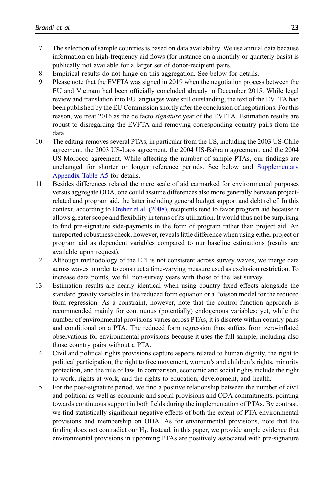- <span id="page-22-0"></span>7. The selection of sample countries is based on data availability. We use annual data because information on high-frequency aid flows (for instance on a monthly or quarterly basis) is publically not available for a larger set of donor-recipient pairs.
- <span id="page-22-1"></span>8. Empirical results do not hinge on this aggregation. See below for details.
- <span id="page-22-2"></span>9. Please note that the EVFTA was signed in 2019 when the negotiation process between the EU and Vietnam had been officially concluded already in December 2015. While legal review and translation into EU languages were still outstanding, the text of the EVFTA had been published by the EU Commission shortly after the conclusion of negotiations. For this reason, we treat 2016 as the de facto signature year of the EVFTA. Estimation results are robust to disregarding the EVFTA and removing corresponding country pairs from the data.
- <span id="page-22-3"></span>10. The editing removes several PTAs, in particular from the US, including the 2003 US-Chile agreement, the 2003 US-Laos agreement, the 2004 US-Bahrain agreement, and the 2004 US-Morocco agreement. While affecting the number of sample PTAs, our findings are unchanged for shorter or longer reference periods. See below and [Supplementary](https://journals.sagepub.com/doi/suppl/10.1177/10704965221076070) [Appendix Table A5](https://journals.sagepub.com/doi/suppl/10.1177/10704965221076070) for details.
- <span id="page-22-4"></span>11. Besides differences related the mere scale of aid earmarked for environmental purposes versus aggregate ODA, one could assume differences also more generally between projectrelated and program aid, the latter including general budget support and debt relief. In this context, according to [Dreher et al. \(2008\),](#page-25-3) recipients tend to favor program aid because it allows greater scope and flexibility in terms of its utilization. It would thus not be surprising to find pre-signature side-payments in the form of program rather than project aid. An unreported robustness check, however, reveals little difference when using either project or program aid as dependent variables compared to our baseline estimations (results are available upon request).
- <span id="page-22-5"></span>12. Although methodology of the EPI is not consistent across survey waves, we merge data across waves in order to construct a time-varying measure used as exclusion restriction. To increase data points, we fill non-survey years with those of the last survey.
- <span id="page-22-6"></span>13. Estimation results are nearly identical when using country fixed effects alongside the standard gravity variables in the reduced form equation or a Poisson model for the reduced form regression. As a constraint, however, note that the control function approach is recommended mainly for continuous (potentially) endogenous variables; yet, while the number of environmental provisions varies across PTAs, it is discrete within country pairs and conditional on a PTA. The reduced form regression thus suffers from zero-inflated observations for environmental provisions because it uses the full sample, including also those country pairs without a PTA.
- <span id="page-22-7"></span>14. Civil and political rights provisions capture aspects related to human dignity, the right to political participation, the right to free movement, women's and children's rights, minority protection, and the rule of law. In comparison, economic and social rights include the right to work, rights at work, and the rights to education, development, and health.
- <span id="page-22-8"></span>15. For the post-signature period, we find a positive relationship between the number of civil and political as well as economic and social provisions and ODA commitments, pointing towards continuous support in both fields during the implementation of PTAs. By contrast, we find statistically significant negative effects of both the extent of PTA environmental provisions and membership on ODA. As for environmental provisions, note that the finding does not contradict our  $H_1$ . Instead, in this paper, we provide ample evidence that environmental provisions in upcoming PTAs are positively associated with pre-signature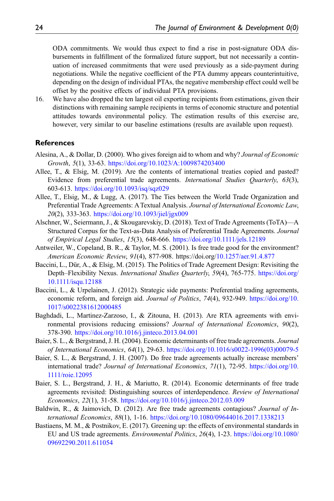ODA commitments. We would thus expect to find a rise in post-signature ODA disbursements in fulfillment of the formalized future support, but not necessarily a continuation of increased commitments that were used previously as a side-payment during negotiations. While the negative coefficient of the PTA dummy appears counterintuitive, depending on the design of individual PTAs, the negative membership effect could well be offset by the positive effects of individual PTA provisions.

<span id="page-23-11"></span>16. We have also dropped the ten largest oil exporting recipients from estimations, given their distinctions with remaining sample recipients in terms of economic structure and potential attitudes towards environmental policy. The estimation results of this exercise are, however, very similar to our baseline estimations (results are available upon request).

## References

- <span id="page-23-2"></span>Alesina, A., & Dollar, D. (2000). Who gives foreign aid to whom and why? Journal of Economic Growth, 5(1), 33-63. <https://doi.org/10.1023/A:1009874203400>
- <span id="page-23-4"></span>Allee, T., & Elsig, M. (2019). Are the contents of international treaties copied and pasted? Evidence from preferential trade agreements. International Studies Quarterly, 63(3), 603-613. <https://doi.org/10.1093/isq/sqz029>
- <span id="page-23-5"></span>Allee, T., Elsig, M., & Lugg, A. (2017). The Ties between the World Trade Organization and Preferential Trade Agreements: ATextual Analysis. Journal of International Economic Law, 20(2), 333-363. <https://doi.org/10.1093/jiel/jgx009>
- <span id="page-23-6"></span>Alschner, W., Seiermann, J., & Skougarevskiy, D. (2018). Text of Trade Agreements (ToTA)—A Structured Corpus for the Text-as-Data Analysis of Preferential Trade Agreements. Journal of Empirical Legal Studies, 15(3), 648-666. <https://doi.org/10.1111/jels.12189>
- <span id="page-23-12"></span>Antweiler, W., Copeland, B. R., & Taylor, M. S. (2001). Is free trade good for the environment? American Economic Review, 91(4), 877-908. https://doi.org/[10.1257/aer.91.4.877](https://doi.org/10.1257/aer.91.4.877)
- <span id="page-23-7"></span>Baccini, L., Dür, A., & Elsig, M. (2015). The Politics of Trade Agreement Design: Revisiting the Depth–Flexibility Nexus. International Studies Quarterly, 59(4), 765-775. [https://doi.org/](https://doi.org/10.1111/isqu.12188) [10.1111/isqu.12188](https://doi.org/10.1111/isqu.12188)
- <span id="page-23-3"></span>Baccini, L., & Urpelainen, J. (2012). Strategic side payments: Preferential trading agreements, economic reform, and foreign aid. Journal of Politics, 74(4), 932-949. [https://doi.org/10.](https://doi.org/10.1017/s0022381612000485) [1017/s0022381612000485](https://doi.org/10.1017/s0022381612000485)
- <span id="page-23-0"></span>Baghdadi, L., Martinez-Zarzoso, I., & Zitouna, H. (2013). Are RTA agreements with environmental provisions reducing emissions? Journal of International Economics, 90(2), 378-390. <https://doi.org/10.1016/j.jinteco.2013.04.001>
- <span id="page-23-8"></span>Baier, S. L., & Bergstrand, J. H. (2004). Economic determinants of free trade agreements. Journal of International Economics, 64(1), 29-63. [https://doi.org/10.1016/s0022-1996\(03\)00079-5](https://doi.org/10.1016/s0022-1996(03)00079-5)
- <span id="page-23-13"></span>Baier, S. L., & Bergstrand, J. H. (2007). Do free trade agreements actually increase members' international trade? Journal of International Economics, 71(1), 72-95. [https://doi.org/10.](https://doi.org/10.1111/roie.12095) [1111/roie.12095](https://doi.org/10.1111/roie.12095)
- <span id="page-23-9"></span>Baier, S. L., Bergstrand, J. H., & Mariutto, R. (2014). Economic determinants of free trade agreements revisited: Distinguishing sources of interdependence. Review of International Economics, 22(1), 31-58. <https://doi.org/10.1016/j.jinteco.2012.03.009>
- <span id="page-23-10"></span>Baldwin, R., & Jaimovich, D. (2012). Are free trade agreements contagious? Journal of International Economics, 88(1), 1-16. <https://doi.org/10.1080/09644016.2017.1338213>
- <span id="page-23-1"></span>Bastiaens, M. M., & Postnikov, E. (2017). Greening up: the effects of environmental standards in EU and US trade agreements. Environmental Politics, 26(4), 1-23. [https://doi.org/10.1080/](https://doi.org/10.1080/09692290.2011.611054) [09692290.2011.611054](https://doi.org/10.1080/09692290.2011.611054)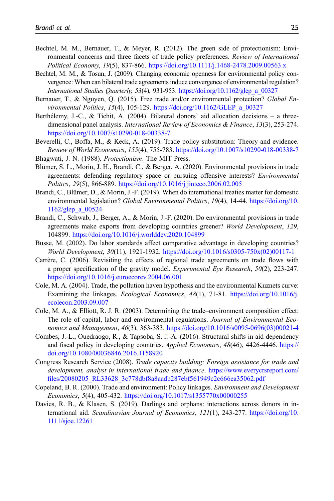- <span id="page-24-5"></span>Bechtel, M. M., Bernauer, T., & Meyer, R. (2012). The green side of protectionism: Environmental concerns and three facets of trade policy preferences. Review of International Political Economy, 19(5), 837-866. <https://doi.org/10.1111/j.1468-2478.2009.00563.x>
- <span id="page-24-6"></span>Bechtel, M. M., & Tosun, J. (2009). Changing economic openness for environmental policy convergence: When can bilateral trade agreements induce convergence of environmental regulation? International Studies Quarterly, 53(4), 931-953. [https://doi.org/10.1162/glep\\_a\\_00327](https://doi.org/10.1162/glep_a_00327)
- <span id="page-24-15"></span>Bernauer, T., & Nguyen, Q. (2015). Free trade and/or environmental protection? Global Environmental Politics, 15(4), 105-129. [https://doi.org/10.1162/GLEP\\_a\\_00327](https://doi.org/10.1162/GLEP_a_00327)
- <span id="page-24-10"></span>Berthélemy, J.-C., & Tichit, A. (2004). Bilateral donors' aid allocation decisions – a threedimensional panel analysis. *International Review of Economics & Finance*, 13(3), 253-274. <https://doi.org/10.1007/s10290-018-00338-7>
- <span id="page-24-7"></span>Beverelli, C., Boffa, M., & Keck, A. (2019). Trade policy substitution: Theory and evidence. Review of World Economics, 155(4), 755-783. <https://doi.org/10.1007/s10290-018-00338-7>
- <span id="page-24-4"></span><span id="page-24-1"></span>Bhagwati, J. N. (1988). Protectionism. The MIT Press.
- Blümer, S. L., Morin, J. H., Brandi, C., & Berger, A. (2020). Environmental provisions in trade agreements: defending regulatory space or pursuing offensive interests? Environmental Politics, 29(5), 866-889. <https://doi.org/10.1016/j.jinteco.2006.02.005>
- <span id="page-24-0"></span>Brandi, C., Blümer, D., & Morin, J.-F. (2019). When do international treaties matter for domestic environmental legislation? Global Environmental Politics, 19(4), 14-44. [https://doi.org/10.](https://doi.org/10.1162/glep_a_00524) [1162/glep\\_a\\_00524](https://doi.org/10.1162/glep_a_00524)
- <span id="page-24-12"></span>Brandi, C., Schwab, J., Berger, A., & Morin, J.-F. (2020). Do environmental provisions in trade agreements make exports from developing countries greener? World Development, 129, 104899. <https://doi.org/10.1016/j.worlddev.2020.104899>
- <span id="page-24-11"></span>Busse, M. (2002). Do labor standards affect comparative advantage in developing countries? World Development, 30(11), 1921-1932. [https://doi.org/10.1016/s0305-750x\(02\)00117-1](https://doi.org/10.1016/s0305-750x(02)00117-1)
- <span id="page-24-16"></span>Carrère, C. (2006). Revisiting the effects of regional trade agreements on trade flows with a proper specification of the gravity model. Experimental Eye Research, 50(2), 223-247. <https://doi.org/10.1016/j.euroecorev.2004.06.001>
- <span id="page-24-13"></span>Cole, M. A. (2004). Trade, the pollution haven hypothesis and the environmental Kuznets curve: Examining the linkages. Ecological Economics, 48(1), 71-81. [https://doi.org/10.1016/j.](https://doi.org/10.1016/j.ecolecon.2003.09.007) [ecolecon.2003.09.007](https://doi.org/10.1016/j.ecolecon.2003.09.007)
- <span id="page-24-14"></span>Cole, M. A., & Elliott, R. J. R. (2003). Determining the trade–environment composition effect: The role of capital, labor and environmental regulations. Journal of Environmental Economics and Management, 46(3), 363-383. [https://doi.org/10.1016/s0095-0696\(03\)00021-4](https://doi.org/10.1016/s0095-0696(03)00021-4)
- <span id="page-24-8"></span>Combes, J.-L., Ouedraogo, R., & Tapsoba, S. J.-A. (2016). Structural shifts in aid dependency and fiscal policy in developing countries. Applied Economics, 48(46), 4426-4446. [https://](https://doi.org/10.1080/00036846.2016.1158920) [doi.org/10.1080/00036846.2016.1158920](https://doi.org/10.1080/00036846.2016.1158920)
- <span id="page-24-2"></span>Congress Research Service (2008). Trade capacity building: Foreign assistance for trade and development, analyst in international trade and finance. [https://www.everycrsreport.com/](https://www.everycrsreport.com/files/20080205_RL33628_3c778dbf8a8aadb287ebf561949c2c666ea35062.pdf) fi[les/20080205\\_RL33628\\_3c778dbf8a8aadb287ebf561949c2c666ea35062.pdf](https://www.everycrsreport.com/files/20080205_RL33628_3c778dbf8a8aadb287ebf561949c2c666ea35062.pdf)
- <span id="page-24-3"></span>Copeland, B. R. (2000). Trade and environment: Policy linkages. Environment and Development Economics, 5(4), 405-432. <https://doi.org/10.1017/s1355770x00000255>
- <span id="page-24-9"></span>Davies, R. B., & Klasen, S. (2019). Darlings and orphans: interactions across donors in international aid. Scandinavian Journal of Economics, 121(1), 243-277. [https://doi.org/10.](https://doi.org/10.1111/sjoe.12261) [1111/sjoe.12261](https://doi.org/10.1111/sjoe.12261)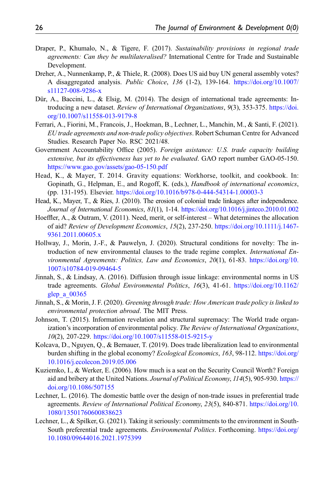- <span id="page-25-2"></span>Draper, P., Khumalo, N., & Tigere, F. (2017). Sustainability provisions in regional trade agreements: Can they be multilateralised? International Centre for Trade and Sustainable Development.
- <span id="page-25-3"></span>Dreher, A., Nunnenkamp, P., & Thiele, R. (2008). Does US aid buy UN general assembly votes? A disaggregated analysis. Public Choice, 136 (1-2), 139-164. [https://doi.org/10.1007/](https://doi.org/10.1007/s11127-008-9286-x) [s11127-008-9286-x](https://doi.org/10.1007/s11127-008-9286-x)
- <span id="page-25-10"></span>Dür, A., Baccini, L., & Elsig, M. (2014). The design of international trade agreements: Introducing a new dataset. Review of International Organizations, 9(3), 353-375. [https://doi.](https://doi.org/10.1007/s11558-013-9179-8) [org/10.1007/s11558-013-9179-8](https://doi.org/10.1007/s11558-013-9179-8)
- <span id="page-25-14"></span>Ferrari, A., Fiorini, M., Francois, J., Hoekman, B., Lechner, L., Manchin, M., & Santi, F. (2021). EU trade agreements and non-trade policy objectives. Robert Schuman Centre for Advanced Studies. Research Paper No. RSC 2021/48.
- <span id="page-25-5"></span>Government Accountability Office (2005). Foreign asistance: U.S. trade capacity building extensive, but its effectiveness has yet to be evaluated. GAO report number GAO-05-150. <https://www.gao.gov/assets/gao-05-150.pdf>
- <span id="page-25-12"></span>Head, K., & Mayer, T. 2014. Gravity equations: Workhorse, toolkit, and cookbook. In: Gopinath, G., Helpman, E., and Rogoff, K. (eds.), Handbook of international economics, (pp. 131-195). Elsevier. <https://doi.org/10.1016/b978-0-444-54314-1.00003-3>
- <span id="page-25-11"></span>Head, K., Mayer, T., & Ries, J. (2010). The erosion of colonial trade linkages after independence. Journal of International Economics, 81(1), 1-14. <https://doi.org/10.1016/j.jinteco.2010.01.002>
- <span id="page-25-8"></span>Hoeffler, A., & Outram, V. (2011). Need, merit, or self-interest – What determines the allocation of aid? Review of Development Economics, 15(2), 237-250. [https://doi.org/10.1111/j.1467-](https://doi.org/10.1111/j.1467-9361.2011.00605.x) [9361.2011.00605.x](https://doi.org/10.1111/j.1467-9361.2011.00605.x)
- <span id="page-25-9"></span>Hollway, J., Morin, J.-F., & Pauwelyn, J. (2020). Structural conditions for novelty: The introduction of new environmental clauses to the trade regime complex. *International En*vironmental Agreements: Politics, Law and Economics, 20(1), 61-83. [https://doi.org/10.](https://doi.org/10.1007/s10784-019-09464-5) [1007/s10784-019-09464-5](https://doi.org/10.1007/s10784-019-09464-5)
- <span id="page-25-0"></span>Jinnah, S., & Lindsay, A. (2016). Diffusion through issue linkage: environmental norms in US trade agreements. Global Environmental Politics, 16(3), 41-61. [https://doi.org/10.1162/](https://doi.org/10.1162/glep_a_00365) [glep\\_a\\_00365](https://doi.org/10.1162/glep_a_00365)
- <span id="page-25-1"></span>Jinnah, S., & Morin, J. F. (2020). Greening through trade: How American trade policy is linked to environmental protection abroad. The MIT Press.
- <span id="page-25-7"></span>Johnson, T. (2015). Information revelation and structural supremacy: The World trade organization's incorporation of environmental policy. The Review of International Organizations, 10(2), 207-229. <https://doi.org/10.1007/s11558-015-9215-y>
- <span id="page-25-13"></span>Kolcava, D., Nguyen, Q., & Bernauer, T. (2019). Does trade liberalization lead to environmental burden shifting in the global economy? *Ecological Economics*, 163, 98-112. [https://doi.org/](https://doi.org/10.1016/j.ecolecon.2019.05.006) [10.1016/j.ecolecon.2019.05.006](https://doi.org/10.1016/j.ecolecon.2019.05.006)
- <span id="page-25-4"></span>Kuziemko, I., & Werker, E. (2006). How much is a seat on the Security Council Worth? Foreign aid and bribery at the United Nations. Journal of Political Economy, 114(5), 905-930. [https://](https://doi.org/10.1086/507155) [doi.org/10.1086/507155](https://doi.org/10.1086/507155)
- <span id="page-25-6"></span>Lechner, L. (2016). The domestic battle over the design of non-trade issues in preferential trade agreements. Review of International Political Economy, 23(5), 840-871. [https://doi.org/10.](https://doi.org/10.1080/13501760600838623) [1080/13501760600838623](https://doi.org/10.1080/13501760600838623)
- <span id="page-25-15"></span>Lechner, L., & Spilker, G. (2021). Taking it seriously: commitments to the environment in South-South preferential trade agreements. Environmental Politics. Forthcoming. [https://doi.org/](https://doi.org/10.1080/09644016.2021.1975399) [10.1080/09644016.2021.1975399](https://doi.org/10.1080/09644016.2021.1975399)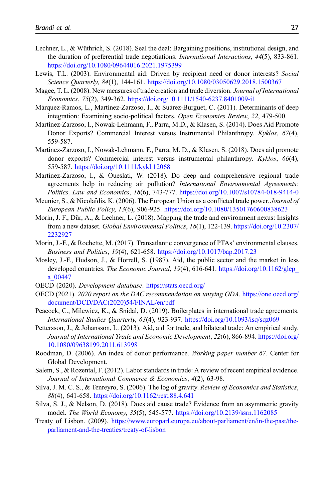- <span id="page-26-9"></span>Lechner, L., & Wüthrich, S. (2018). Seal the deal: Bargaining positions, institutional design, and the duration of preferential trade negotiations. *International Interactions*, 44(5), 833-861. <https://doi.org/10.1080/09644016.2021.1975399>
- <span id="page-26-5"></span>Lewis, T.L. (2003). Environmental aid: Driven by recipient need or donor interests? Social Science Quarterly, 84(1), 144-161. <https://doi.org/10.1080/03050629.2018.1500367>
- <span id="page-26-16"></span>Magee, T. L. (2008). New measures of trade creation and trade diversion. Journal of International Economics, 75(2), 349-362. <https://doi.org/10.1111/1540-6237.8401009-i1>
- <span id="page-26-11"></span>Márquez-Ramos, L., Martínez-Zarzoso, I., & Suárez-Burguet, C. (2011). Determinants of deep integration: Examining socio-political factors. Open Economies Review, 22, 479-500.
- <span id="page-26-17"></span>Martínez-Zarzoso, I., Nowak-Lehmann, F., Parra, M.D., & Klasen, S. (2014). Does Aid Promote Donor Exports? Commercial Interest versus Instrumental Philanthropy. Kyklos, 67(4), 559-587.
- <span id="page-26-15"></span>Martínez-Zarzoso, I., Nowak-Lehmann, F., Parra, M. D., & Klasen, S. (2018). Does aid promote donor exports? Commercial interest versus instrumental philanthropy. Kyklos, 66(4), 559-587. <https://doi.org/10.1111/kykl.12068>
- <span id="page-26-0"></span>Martínez-Zarzoso, I., & Oueslati, W. (2018). Do deep and comprehensive regional trade agreements help in reducing air pollution? International Environmental Agreements: Politics, Law and Economics, 18(6), 743-777. <https://doi.org/10.1007/s10784-018-9414-0>
- <span id="page-26-2"></span>Meunier, S., & Nicolaïdis, K. (2006). The European Union as a conflicted trade power. Journal of European Public Policy, 13(6), 906-925. <https://doi.org/10.1080/13501760600838623>
- <span id="page-26-4"></span>Morin, J. F., Dür, A., & Lechner, L. (2018). Mapping the trade and environment nexus: Insights from a new dataset. Global Environmental Politics, 18(1), 122-139. [https://doi.org/10.2307/](https://doi.org/10.2307/2232927) [2232927](https://doi.org/10.2307/2232927)
- <span id="page-26-7"></span>Morin, J.-F., & Rochette, M. (2017). Transatlantic convergence of PTAs' environmental clauses. Business and Politics, 19(4), 621-658. <https://doi.org/10.1017/bap.2017.23>
- <span id="page-26-6"></span>Mosley, J.-F., Hudson, J., & Horrell, S. (1987). Aid, the public sector and the market in less developed countries. *The Economic Journal*, 19(4), 616-641. https://doi.org/10.1162/glep [a\\_00447](https://doi.org/10.1162/glep_a_00447)
- <span id="page-26-10"></span>OECD (2020). Development database. <https://stats.oecd.org/>
- <span id="page-26-13"></span>OECD (2021). 2020 report on the DAC recommendation on untying ODA. [https://one.oecd.org/](https://one.oecd.org/document/DCD/DAC(2020)54/FINAL/en/pdf) [document/DCD/DAC\(2020\)54/FINAL/en/pdf](https://one.oecd.org/document/DCD/DAC(2020)54/FINAL/en/pdf)
- <span id="page-26-3"></span>Peacock, C., Milewicz, K., & Snidal, D. (2019). Boilerplates in international trade agreements. International Studies Quarterly, 63(4), 923-937. <https://doi.org/10.1093/isq/sqz069>
- <span id="page-26-18"></span>Pettersson, J., & Johansson, L. (2013). Aid, aid for trade, and bilateral trade: An empirical study. Journal of International Trade and Economic Development, 22(6), 866-894. [https://doi.org/](https://doi.org/10.1080/09638199.2011.613998) [10.1080/09638199.2011.613998](https://doi.org/10.1080/09638199.2011.613998)
- <span id="page-26-14"></span>Roodman, D. (2006). An index of donor performance. Working paper number 67. Center for Global Development.
- <span id="page-26-12"></span>Salem, S., & Rozental, F. (2012). Labor standards in trade: A review of recent empirical evidence. Journal of International Commerce & Economics, 4(2), 63-98.
- <span id="page-26-8"></span>Silva, J. M. C. S., & Tenreyro, S. (2006). The log of gravity. Review of Economics and Statistics, 88(4), 641-658. <https://doi.org/10.1162/rest.88.4.641>
- <span id="page-26-19"></span>Silva, S. J., & Nelson, D. (2018). Does aid cause trade? Evidence from an asymmetric gravity model. The World Economy, 35(5), 545-577. <https://doi.org/10.2139/ssrn.1162085>
- <span id="page-26-1"></span>Treaty of Lisbon. (2009). [https://www.europarl.europa.eu/about-parliament/en/in-the-past/the](https://www.europarl.europa.eu/about-parliament/en/in-the-past/the-parliament-and-the-treaties/treaty-of-lisbon)[parliament-and-the-treaties/treaty-of-lisbon](https://www.europarl.europa.eu/about-parliament/en/in-the-past/the-parliament-and-the-treaties/treaty-of-lisbon)